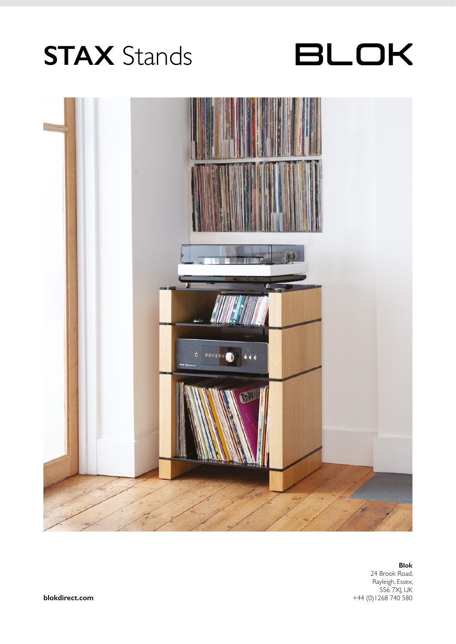## **STAX** Stands





## **Blok**

24 Brook Road, Rayleigh, Essex, SS6 7XJ, UK **blokdirect.com** +44 (0)1268 740 580